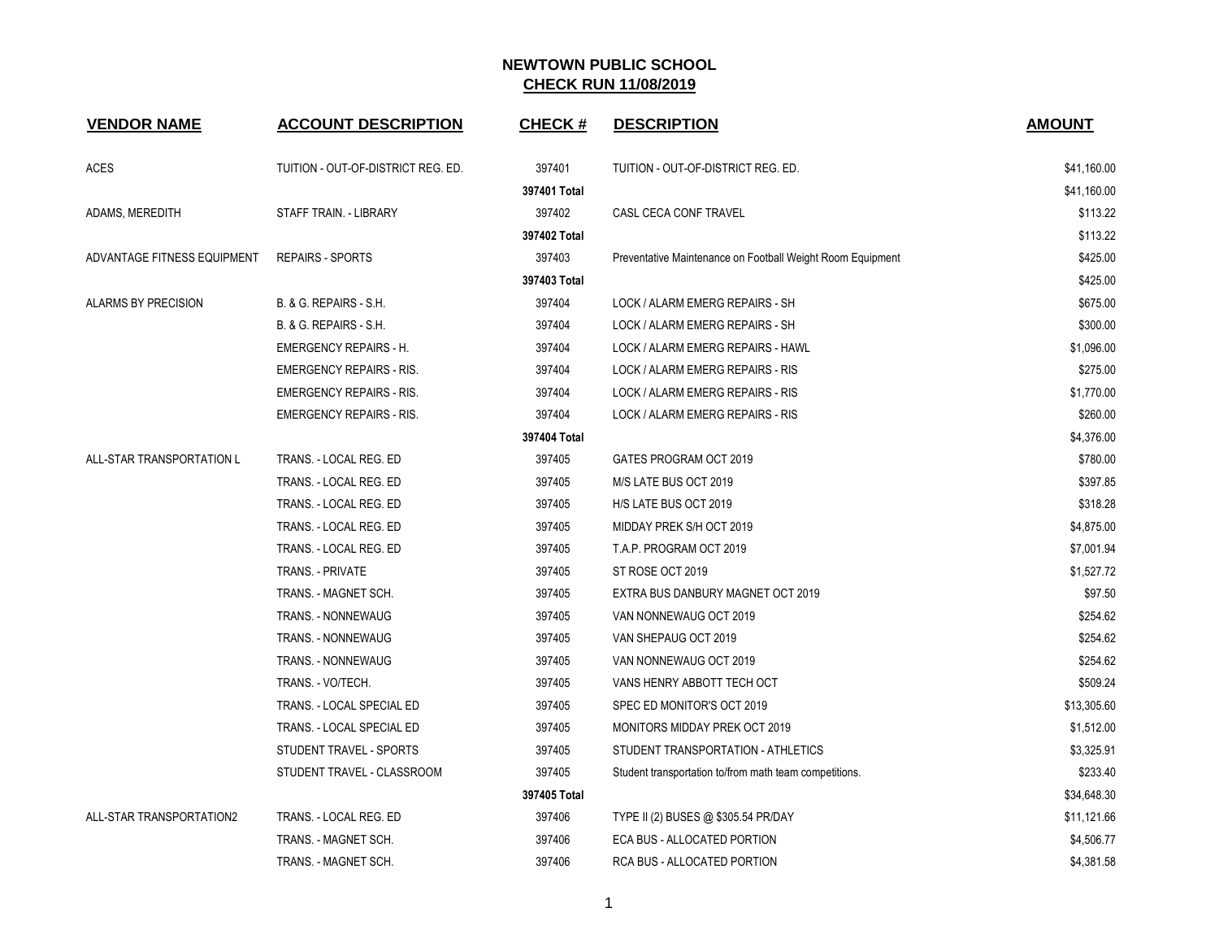| <b>VENDOR NAME</b>              | <b>ACCOUNT DESCRIPTION</b>         | <b>CHECK#</b> | <b>DESCRIPTION</b>                                         | <b>AMOUNT</b> |
|---------------------------------|------------------------------------|---------------|------------------------------------------------------------|---------------|
| <b>ACES</b>                     | TUITION - OUT-OF-DISTRICT REG. ED. | 397401        | TUITION - OUT-OF-DISTRICT REG. ED.                         | \$41,160.00   |
|                                 |                                    | 397401 Total  |                                                            | \$41,160.00   |
| ADAMS, MEREDITH                 | STAFF TRAIN. - LIBRARY             | 397402        | CASL CECA CONF TRAVEL                                      | \$113.22      |
|                                 |                                    | 397402 Total  |                                                            | \$113.22      |
| ADVANTAGE FITNESS EQUIPMENT     | <b>REPAIRS - SPORTS</b>            | 397403        | Preventative Maintenance on Football Weight Room Equipment | \$425.00      |
|                                 |                                    | 397403 Total  |                                                            | \$425.00      |
| ALARMS BY PRECISION             | B. & G. REPAIRS - S.H.             | 397404        | LOCK / ALARM EMERG REPAIRS - SH                            | \$675.00      |
|                                 | B. & G. REPAIRS - S.H.             | 397404        | LOCK / ALARM EMERG REPAIRS - SH                            | \$300.00      |
|                                 | <b>EMERGENCY REPAIRS - H.</b>      | 397404        | LOCK / ALARM EMERG REPAIRS - HAWL                          | \$1,096.00    |
|                                 | <b>EMERGENCY REPAIRS - RIS.</b>    | 397404        | LOCK / ALARM EMERG REPAIRS - RIS                           | \$275.00      |
|                                 | <b>EMERGENCY REPAIRS - RIS.</b>    | 397404        | LOCK / ALARM EMERG REPAIRS - RIS                           | \$1,770.00    |
|                                 | <b>EMERGENCY REPAIRS - RIS.</b>    | 397404        | LOCK / ALARM EMERG REPAIRS - RIS                           | \$260.00      |
|                                 |                                    | 397404 Total  |                                                            | \$4,376.00    |
| ALL-STAR TRANSPORTATION L       | TRANS. - LOCAL REG. ED             | 397405        | GATES PROGRAM OCT 2019                                     | \$780.00      |
|                                 | TRANS. - LOCAL REG. ED             | 397405        | M/S LATE BUS OCT 2019                                      | \$397.85      |
|                                 | TRANS. - LOCAL REG. ED             | 397405        | H/S LATE BUS OCT 2019                                      | \$318.28      |
|                                 | TRANS. - LOCAL REG. ED             | 397405        | MIDDAY PREK S/H OCT 2019                                   | \$4,875.00    |
|                                 | TRANS. - LOCAL REG. ED             | 397405        | T.A.P. PROGRAM OCT 2019                                    | \$7,001.94    |
|                                 | TRANS. - PRIVATE                   | 397405        | ST ROSE OCT 2019                                           | \$1,527.72    |
|                                 | TRANS. - MAGNET SCH.               | 397405        | EXTRA BUS DANBURY MAGNET OCT 2019                          | \$97.50       |
|                                 | TRANS. - NONNEWAUG                 | 397405        | VAN NONNEWAUG OCT 2019                                     | \$254.62      |
|                                 | TRANS. - NONNEWAUG                 | 397405        | VAN SHEPAUG OCT 2019                                       | \$254.62      |
|                                 | TRANS. - NONNEWAUG                 | 397405        | VAN NONNEWAUG OCT 2019                                     | \$254.62      |
|                                 | TRANS. - VO/TECH.                  | 397405        | VANS HENRY ABBOTT TECH OCT                                 | \$509.24      |
|                                 | TRANS. - LOCAL SPECIAL ED          | 397405        | SPEC ED MONITOR'S OCT 2019                                 | \$13,305.60   |
|                                 | TRANS. - LOCAL SPECIAL ED          | 397405        | <b>MONITORS MIDDAY PREK OCT 2019</b>                       | \$1,512.00    |
|                                 | STUDENT TRAVEL - SPORTS            | 397405        | STUDENT TRANSPORTATION - ATHLETICS                         | \$3,325.91    |
|                                 | STUDENT TRAVEL - CLASSROOM         | 397405        | Student transportation to/from math team competitions.     | \$233.40      |
|                                 |                                    | 397405 Total  |                                                            | \$34,648.30   |
| <b>ALL-STAR TRANSPORTATION2</b> | TRANS. - LOCAL REG. ED             | 397406        | TYPE II (2) BUSES @ \$305.54 PR/DAY                        | \$11,121.66   |
|                                 | TRANS. - MAGNET SCH.               | 397406        | ECA BUS - ALLOCATED PORTION                                | \$4,506.77    |
|                                 | TRANS. - MAGNET SCH.               | 397406        | RCA BUS - ALLOCATED PORTION                                | \$4,381.58    |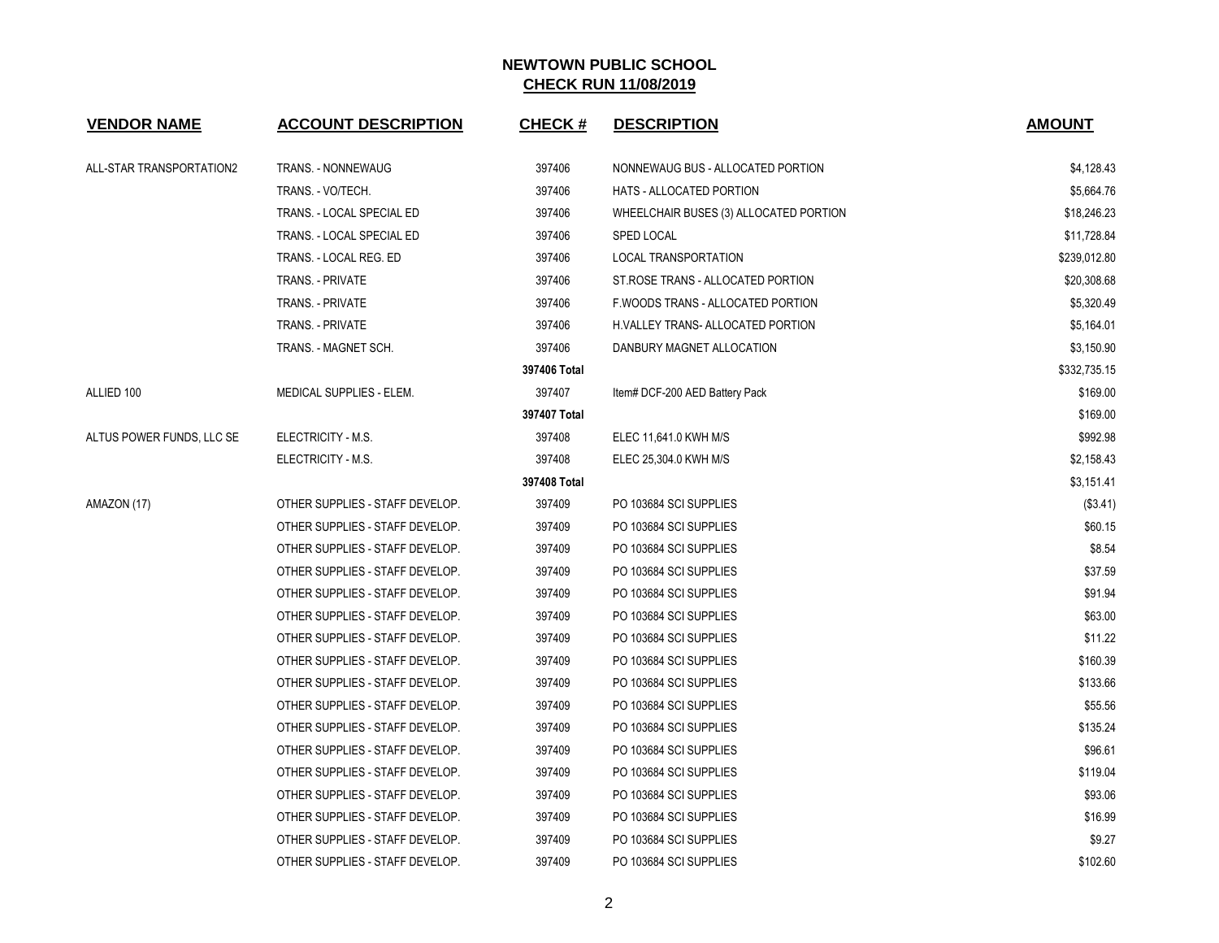| <b>VENDOR NAME</b>        | <b>ACCOUNT DESCRIPTION</b>      | <b>CHECK#</b> | <b>DESCRIPTION</b>                     | <b>AMOUNT</b> |
|---------------------------|---------------------------------|---------------|----------------------------------------|---------------|
| ALL-STAR TRANSPORTATION2  | <b>TRANS. - NONNEWAUG</b>       | 397406        | NONNEWAUG BUS - ALLOCATED PORTION      | \$4,128.43    |
|                           | TRANS. - VO/TECH.               | 397406        | <b>HATS - ALLOCATED PORTION</b>        | \$5,664.76    |
|                           | TRANS. - LOCAL SPECIAL ED       | 397406        | WHEELCHAIR BUSES (3) ALLOCATED PORTION | \$18,246.23   |
|                           | TRANS. - LOCAL SPECIAL ED       | 397406        | <b>SPED LOCAL</b>                      | \$11,728.84   |
|                           | TRANS. - LOCAL REG. ED          | 397406        | <b>LOCAL TRANSPORTATION</b>            | \$239,012.80  |
|                           | <b>TRANS. - PRIVATE</b>         | 397406        | ST. ROSE TRANS - ALLOCATED PORTION     | \$20,308.68   |
|                           | TRANS. - PRIVATE                | 397406        | F. WOODS TRANS - ALLOCATED PORTION     | \$5,320.49    |
|                           | TRANS. - PRIVATE                | 397406        | H. VALLEY TRANS- ALLOCATED PORTION     | \$5,164.01    |
|                           | TRANS. - MAGNET SCH.            | 397406        | DANBURY MAGNET ALLOCATION              | \$3,150.90    |
|                           |                                 | 397406 Total  |                                        | \$332,735.15  |
| ALLIED 100                | MEDICAL SUPPLIES - ELEM.        | 397407        | Item# DCF-200 AED Battery Pack         | \$169.00      |
|                           |                                 | 397407 Total  |                                        | \$169.00      |
| ALTUS POWER FUNDS, LLC SE | ELECTRICITY - M.S.              | 397408        | ELEC 11,641.0 KWH M/S                  | \$992.98      |
|                           | ELECTRICITY - M.S.              | 397408        | ELEC 25,304.0 KWH M/S                  | \$2,158.43    |
|                           |                                 | 397408 Total  |                                        | \$3,151.41    |
| AMAZON (17)               | OTHER SUPPLIES - STAFF DEVELOP. | 397409        | PO 103684 SCI SUPPLIES                 | ( \$3.41)     |
|                           | OTHER SUPPLIES - STAFF DEVELOP. | 397409        | PO 103684 SCI SUPPLIES                 | \$60.15       |
|                           | OTHER SUPPLIES - STAFF DEVELOP. | 397409        | PO 103684 SCI SUPPLIES                 | \$8.54        |
|                           | OTHER SUPPLIES - STAFF DEVELOP. | 397409        | PO 103684 SCI SUPPLIES                 | \$37.59       |
|                           | OTHER SUPPLIES - STAFF DEVELOP. | 397409        | PO 103684 SCI SUPPLIES                 | \$91.94       |
|                           | OTHER SUPPLIES - STAFF DEVELOP. | 397409        | PO 103684 SCI SUPPLIES                 | \$63.00       |
|                           | OTHER SUPPLIES - STAFF DEVELOP. | 397409        | PO 103684 SCI SUPPLIES                 | \$11.22       |
|                           | OTHER SUPPLIES - STAFF DEVELOP. | 397409        | PO 103684 SCI SUPPLIES                 | \$160.39      |
|                           | OTHER SUPPLIES - STAFF DEVELOP. | 397409        | PO 103684 SCI SUPPLIES                 | \$133.66      |
|                           | OTHER SUPPLIES - STAFF DEVELOP. | 397409        | PO 103684 SCI SUPPLIES                 | \$55.56       |
|                           | OTHER SUPPLIES - STAFF DEVELOP. | 397409        | PO 103684 SCI SUPPLIES                 | \$135.24      |
|                           | OTHER SUPPLIES - STAFF DEVELOP. | 397409        | PO 103684 SCI SUPPLIES                 | \$96.61       |
|                           | OTHER SUPPLIES - STAFF DEVELOP. | 397409        | PO 103684 SCI SUPPLIES                 | \$119.04      |
|                           | OTHER SUPPLIES - STAFF DEVELOP. | 397409        | PO 103684 SCI SUPPLIES                 | \$93.06       |
|                           | OTHER SUPPLIES - STAFF DEVELOP. | 397409        | PO 103684 SCI SUPPLIES                 | \$16.99       |
|                           | OTHER SUPPLIES - STAFF DEVELOP. | 397409        | PO 103684 SCI SUPPLIES                 | \$9.27        |
|                           | OTHER SUPPLIES - STAFF DEVELOP. | 397409        | PO 103684 SCI SUPPLIES                 | \$102.60      |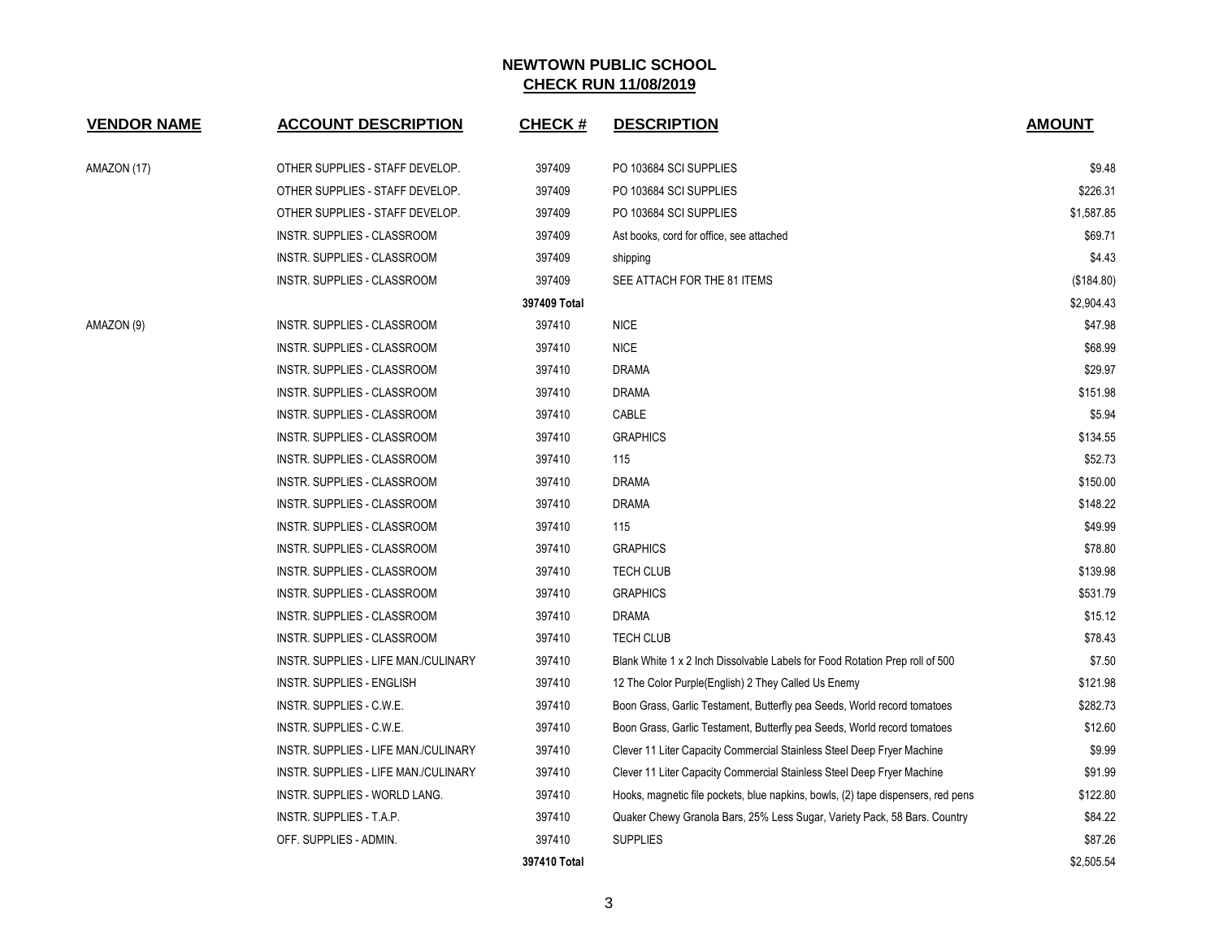| <b>VENDOR NAME</b> | <b>ACCOUNT DESCRIPTION</b>           | <b>CHECK#</b> | <b>DESCRIPTION</b>                                                               | <b>AMOUNT</b> |
|--------------------|--------------------------------------|---------------|----------------------------------------------------------------------------------|---------------|
| AMAZON (17)        | OTHER SUPPLIES - STAFF DEVELOP.      | 397409        | PO 103684 SCI SUPPLIES                                                           | \$9.48        |
|                    | OTHER SUPPLIES - STAFF DEVELOP.      | 397409        | PO 103684 SCI SUPPLIES                                                           | \$226.31      |
|                    | OTHER SUPPLIES - STAFF DEVELOP.      | 397409        | PO 103684 SCI SUPPLIES                                                           | \$1,587.85    |
|                    | INSTR. SUPPLIES - CLASSROOM          | 397409        | Ast books, cord for office, see attached                                         | \$69.71       |
|                    | INSTR. SUPPLIES - CLASSROOM          | 397409        | shipping                                                                         | \$4.43        |
|                    | <b>INSTR. SUPPLIES - CLASSROOM</b>   | 397409        | SEE ATTACH FOR THE 81 ITEMS                                                      | (\$184.80)    |
|                    |                                      | 397409 Total  |                                                                                  | \$2,904.43    |
| AMAZON (9)         | INSTR. SUPPLIES - CLASSROOM          | 397410        | <b>NICE</b>                                                                      | \$47.98       |
|                    | INSTR. SUPPLIES - CLASSROOM          | 397410        | <b>NICE</b>                                                                      | \$68.99       |
|                    | INSTR. SUPPLIES - CLASSROOM          | 397410        | <b>DRAMA</b>                                                                     | \$29.97       |
|                    | INSTR. SUPPLIES - CLASSROOM          | 397410        | <b>DRAMA</b>                                                                     | \$151.98      |
|                    | INSTR. SUPPLIES - CLASSROOM          | 397410        | CABLE                                                                            | \$5.94        |
|                    | INSTR. SUPPLIES - CLASSROOM          | 397410        | <b>GRAPHICS</b>                                                                  | \$134.55      |
|                    | INSTR. SUPPLIES - CLASSROOM          | 397410        | 115                                                                              | \$52.73       |
|                    | <b>INSTR. SUPPLIES - CLASSROOM</b>   | 397410        | <b>DRAMA</b>                                                                     | \$150.00      |
|                    | INSTR. SUPPLIES - CLASSROOM          | 397410        | <b>DRAMA</b>                                                                     | \$148.22      |
|                    | INSTR. SUPPLIES - CLASSROOM          | 397410        | 115                                                                              | \$49.99       |
|                    | INSTR. SUPPLIES - CLASSROOM          | 397410        | <b>GRAPHICS</b>                                                                  | \$78.80       |
|                    | INSTR. SUPPLIES - CLASSROOM          | 397410        | <b>TECH CLUB</b>                                                                 | \$139.98      |
|                    | INSTR. SUPPLIES - CLASSROOM          | 397410        | <b>GRAPHICS</b>                                                                  | \$531.79      |
|                    | INSTR. SUPPLIES - CLASSROOM          | 397410        | <b>DRAMA</b>                                                                     | \$15.12       |
|                    | INSTR. SUPPLIES - CLASSROOM          | 397410        | TECH CLUB                                                                        | \$78.43       |
|                    | INSTR. SUPPLIES - LIFE MAN./CULINARY | 397410        | Blank White 1 x 2 Inch Dissolvable Labels for Food Rotation Prep roll of 500     | \$7.50        |
|                    | <b>INSTR. SUPPLIES - ENGLISH</b>     | 397410        | 12 The Color Purple(English) 2 They Called Us Enemy                              | \$121.98      |
|                    | INSTR. SUPPLIES - C.W.E.             | 397410        | Boon Grass, Garlic Testament, Butterfly pea Seeds, World record tomatoes         | \$282.73      |
|                    | INSTR. SUPPLIES - C.W.E.             | 397410        | Boon Grass, Garlic Testament, Butterfly pea Seeds, World record tomatoes         | \$12.60       |
|                    | INSTR. SUPPLIES - LIFE MAN./CULINARY | 397410        | Clever 11 Liter Capacity Commercial Stainless Steel Deep Fryer Machine           | \$9.99        |
|                    | INSTR. SUPPLIES - LIFE MAN./CULINARY | 397410        | Clever 11 Liter Capacity Commercial Stainless Steel Deep Fryer Machine           | \$91.99       |
|                    | INSTR. SUPPLIES - WORLD LANG.        | 397410        | Hooks, magnetic file pockets, blue napkins, bowls, (2) tape dispensers, red pens | \$122.80      |
|                    | INSTR. SUPPLIES - T.A.P.             | 397410        | Quaker Chewy Granola Bars, 25% Less Sugar, Variety Pack, 58 Bars. Country        | \$84.22       |
|                    | OFF. SUPPLIES - ADMIN.               | 397410        | <b>SUPPLIES</b>                                                                  | \$87.26       |
|                    |                                      | 397410 Total  |                                                                                  | \$2,505.54    |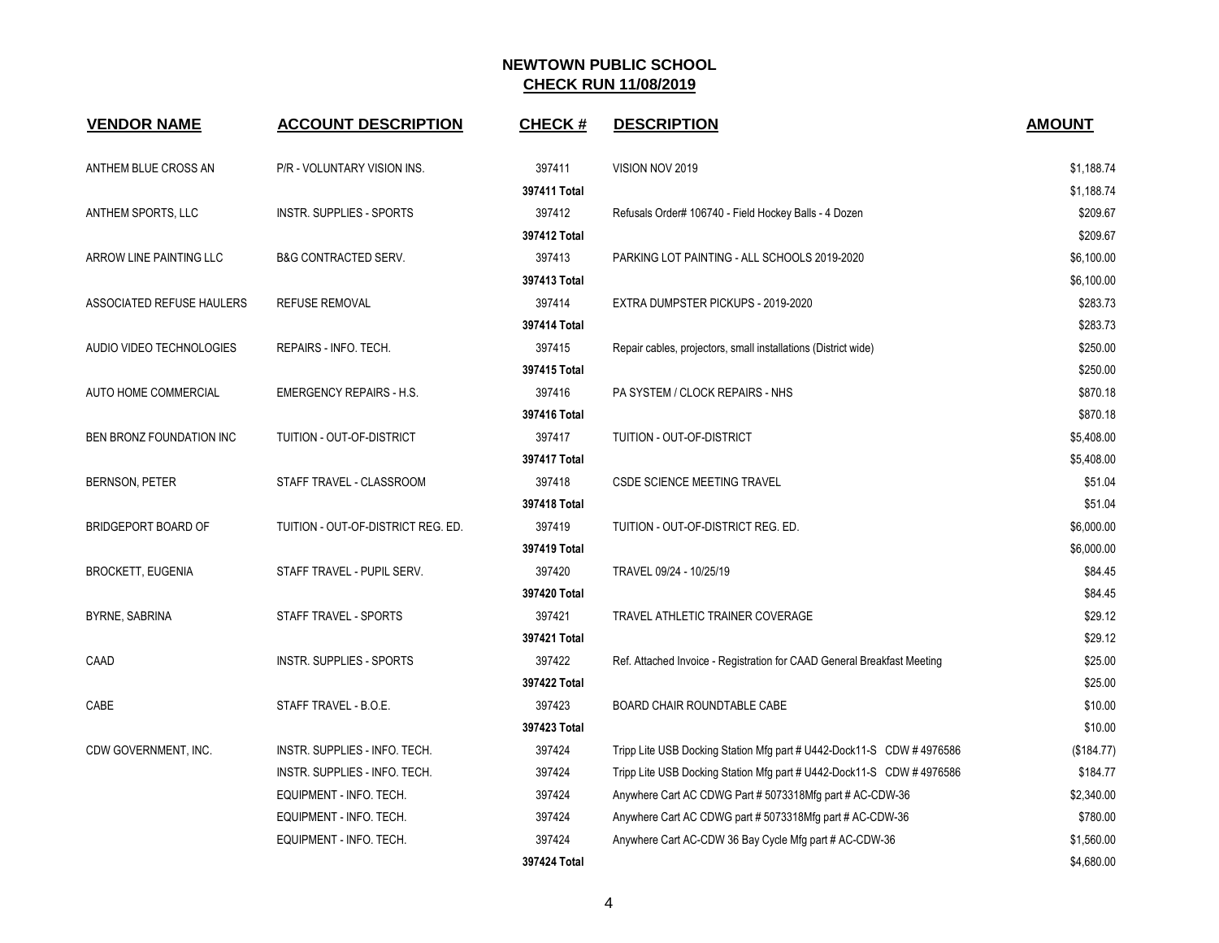| <b>VENDOR NAME</b>        | <b>ACCOUNT DESCRIPTION</b>         | <b>CHECK#</b> | <b>DESCRIPTION</b>                                                      | <b>AMOUNT</b> |
|---------------------------|------------------------------------|---------------|-------------------------------------------------------------------------|---------------|
| ANTHEM BLUE CROSS AN      | P/R - VOLUNTARY VISION INS.        | 397411        | VISION NOV 2019                                                         | \$1,188.74    |
|                           |                                    | 397411 Total  |                                                                         | \$1,188.74    |
| ANTHEM SPORTS, LLC        | INSTR. SUPPLIES - SPORTS           | 397412        | Refusals Order# 106740 - Field Hockey Balls - 4 Dozen                   | \$209.67      |
|                           |                                    | 397412 Total  |                                                                         | \$209.67      |
| ARROW LINE PAINTING LLC   | <b>B&amp;G CONTRACTED SERV.</b>    | 397413        | PARKING LOT PAINTING - ALL SCHOOLS 2019-2020                            | \$6,100.00    |
|                           |                                    | 397413 Total  |                                                                         | \$6,100.00    |
| ASSOCIATED REFUSE HAULERS | <b>REFUSE REMOVAL</b>              | 397414        | EXTRA DUMPSTER PICKUPS - 2019-2020                                      | \$283.73      |
|                           |                                    | 397414 Total  |                                                                         | \$283.73      |
| AUDIO VIDEO TECHNOLOGIES  | REPAIRS - INFO. TECH.              | 397415        | Repair cables, projectors, small installations (District wide)          | \$250.00      |
|                           |                                    | 397415 Total  |                                                                         | \$250.00      |
| AUTO HOME COMMERCIAL      | <b>EMERGENCY REPAIRS - H.S.</b>    | 397416        | PA SYSTEM / CLOCK REPAIRS - NHS                                         | \$870.18      |
|                           |                                    | 397416 Total  |                                                                         | \$870.18      |
| BEN BRONZ FOUNDATION INC  | TUITION - OUT-OF-DISTRICT          | 397417        | TUITION - OUT-OF-DISTRICT                                               | \$5,408.00    |
|                           |                                    | 397417 Total  |                                                                         | \$5,408.00    |
| BERNSON, PETER            | STAFF TRAVEL - CLASSROOM           | 397418        | <b>CSDE SCIENCE MEETING TRAVEL</b>                                      | \$51.04       |
|                           |                                    | 397418 Total  |                                                                         | \$51.04       |
| BRIDGEPORT BOARD OF       | TUITION - OUT-OF-DISTRICT REG. ED. | 397419        | TUITION - OUT-OF-DISTRICT REG. ED.                                      | \$6,000.00    |
|                           |                                    | 397419 Total  |                                                                         | \$6,000.00    |
| <b>BROCKETT, EUGENIA</b>  | STAFF TRAVEL - PUPIL SERV.         | 397420        | TRAVEL 09/24 - 10/25/19                                                 | \$84.45       |
|                           |                                    | 397420 Total  |                                                                         | \$84.45       |
| <b>BYRNE, SABRINA</b>     | STAFF TRAVEL - SPORTS              | 397421        | TRAVEL ATHLETIC TRAINER COVERAGE                                        | \$29.12       |
|                           |                                    | 397421 Total  |                                                                         | \$29.12       |
| CAAD                      | <b>INSTR. SUPPLIES - SPORTS</b>    | 397422        | Ref. Attached Invoice - Registration for CAAD General Breakfast Meeting | \$25.00       |
|                           |                                    | 397422 Total  |                                                                         | \$25.00       |
| CABE                      | STAFF TRAVEL - B.O.E.              | 397423        | BOARD CHAIR ROUNDTABLE CABE                                             | \$10.00       |
|                           |                                    | 397423 Total  |                                                                         | \$10.00       |
| CDW GOVERNMENT, INC.      | INSTR. SUPPLIES - INFO. TECH.      | 397424        | Tripp Lite USB Docking Station Mfg part # U442-Dock11-S CDW # 4976586   | (\$184.77)    |
|                           | INSTR. SUPPLIES - INFO. TECH.      | 397424        | Tripp Lite USB Docking Station Mfg part # U442-Dock11-S CDW #4976586    | \$184.77      |
|                           | EQUIPMENT - INFO. TECH.            | 397424        | Anywhere Cart AC CDWG Part # 5073318Mfg part # AC-CDW-36                | \$2,340.00    |
|                           | EQUIPMENT - INFO. TECH.            | 397424        | Anywhere Cart AC CDWG part # 5073318Mfg part # AC-CDW-36                | \$780.00      |
|                           | EQUIPMENT - INFO. TECH.            | 397424        | Anywhere Cart AC-CDW 36 Bay Cycle Mfg part # AC-CDW-36                  | \$1,560.00    |
|                           |                                    | 397424 Total  |                                                                         | \$4,680.00    |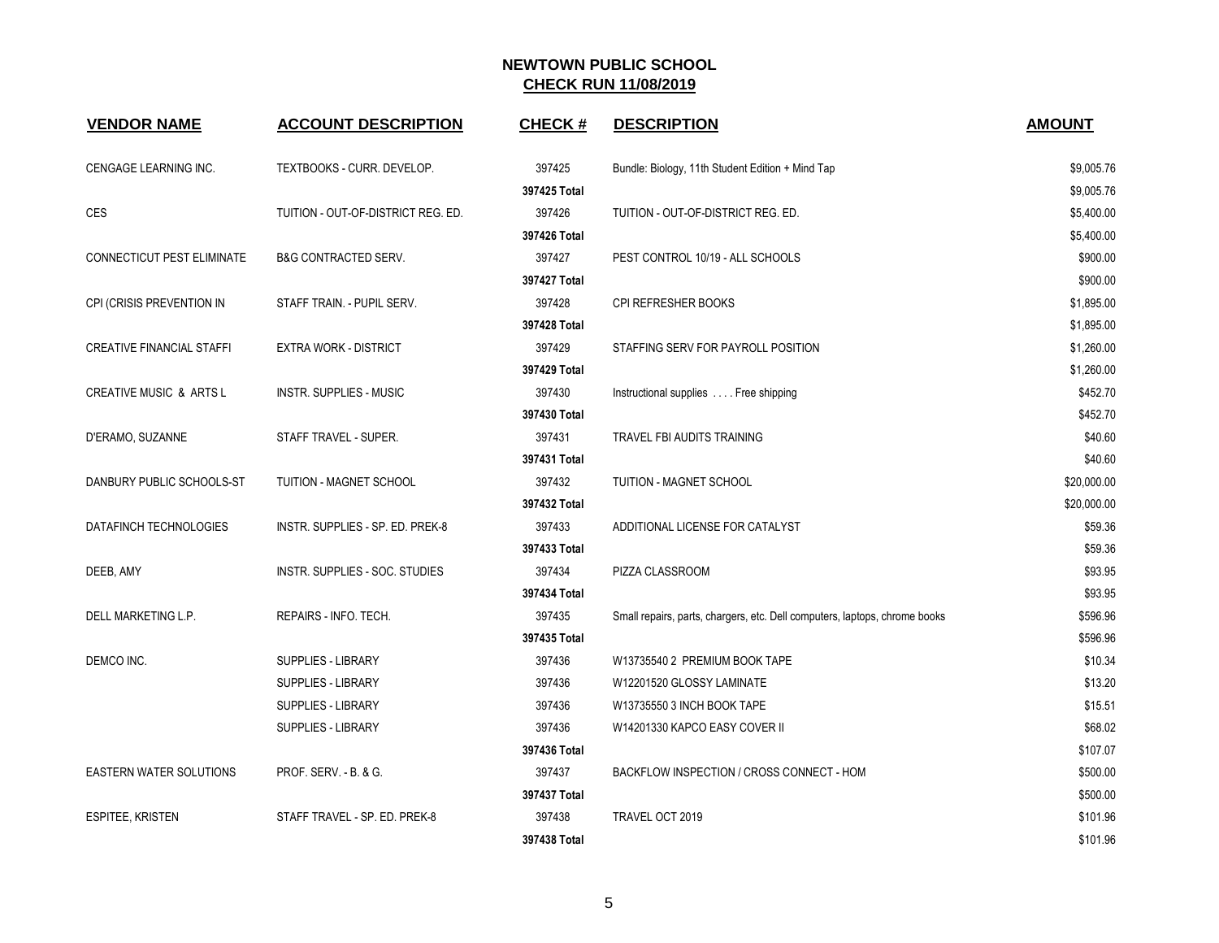| <b>VENDOR NAME</b>                 | <b>ACCOUNT DESCRIPTION</b>         | <b>CHECK#</b> | <b>DESCRIPTION</b>                                                         | <b>AMOUNT</b> |
|------------------------------------|------------------------------------|---------------|----------------------------------------------------------------------------|---------------|
| CENGAGE LEARNING INC.              | TEXTBOOKS - CURR. DEVELOP.         | 397425        | Bundle: Biology, 11th Student Edition + Mind Tap                           | \$9,005.76    |
|                                    |                                    | 397425 Total  |                                                                            | \$9,005.76    |
| <b>CES</b>                         | TUITION - OUT-OF-DISTRICT REG. ED. | 397426        | TUITION - OUT-OF-DISTRICT REG. ED.                                         | \$5,400.00    |
|                                    |                                    | 397426 Total  |                                                                            | \$5,400.00    |
| CONNECTICUT PEST ELIMINATE         | <b>B&amp;G CONTRACTED SERV.</b>    | 397427        | PEST CONTROL 10/19 - ALL SCHOOLS                                           | \$900.00      |
|                                    |                                    | 397427 Total  |                                                                            | \$900.00      |
| CPI (CRISIS PREVENTION IN          | STAFF TRAIN. - PUPIL SERV.         | 397428        | CPI REFRESHER BOOKS                                                        | \$1,895.00    |
|                                    |                                    | 397428 Total  |                                                                            | \$1,895.00    |
| <b>CREATIVE FINANCIAL STAFFI</b>   | <b>EXTRA WORK - DISTRICT</b>       | 397429        | STAFFING SERV FOR PAYROLL POSITION                                         | \$1,260.00    |
|                                    |                                    | 397429 Total  |                                                                            | \$1,260.00    |
| <b>CREATIVE MUSIC &amp; ARTS L</b> | <b>INSTR. SUPPLIES - MUSIC</b>     | 397430        | Instructional supplies Free shipping                                       | \$452.70      |
|                                    |                                    | 397430 Total  |                                                                            | \$452.70      |
| D'ERAMO, SUZANNE                   | STAFF TRAVEL - SUPER.              | 397431        | TRAVEL FBI AUDITS TRAINING                                                 | \$40.60       |
|                                    |                                    | 397431 Total  |                                                                            | \$40.60       |
| DANBURY PUBLIC SCHOOLS-ST          | TUITION - MAGNET SCHOOL            | 397432        | TUITION - MAGNET SCHOOL                                                    | \$20,000.00   |
|                                    |                                    | 397432 Total  |                                                                            | \$20,000.00   |
| DATAFINCH TECHNOLOGIES             | INSTR. SUPPLIES - SP. ED. PREK-8   | 397433        | ADDITIONAL LICENSE FOR CATALYST                                            | \$59.36       |
|                                    |                                    | 397433 Total  |                                                                            | \$59.36       |
| DEEB, AMY                          | INSTR. SUPPLIES - SOC. STUDIES     | 397434        | PIZZA CLASSROOM                                                            | \$93.95       |
|                                    |                                    | 397434 Total  |                                                                            | \$93.95       |
| DELL MARKETING L.P.                | REPAIRS - INFO. TECH.              | 397435        | Small repairs, parts, chargers, etc. Dell computers, laptops, chrome books | \$596.96      |
|                                    |                                    | 397435 Total  |                                                                            | \$596.96      |
| DEMCO INC.                         | <b>SUPPLIES - LIBRARY</b>          | 397436        | W13735540 2 PREMIUM BOOK TAPE                                              | \$10.34       |
|                                    | SUPPLIES - LIBRARY                 | 397436        | W12201520 GLOSSY LAMINATE                                                  | \$13.20       |
|                                    | SUPPLIES - LIBRARY                 | 397436        | W13735550 3 INCH BOOK TAPE                                                 | \$15.51       |
|                                    | <b>SUPPLIES - LIBRARY</b>          | 397436        | W14201330 KAPCO EASY COVER II                                              | \$68.02       |
|                                    |                                    | 397436 Total  |                                                                            | \$107.07      |
| <b>EASTERN WATER SOLUTIONS</b>     | <b>PROF. SERV. - B. &amp; G.</b>   | 397437        | BACKFLOW INSPECTION / CROSS CONNECT - HOM                                  | \$500.00      |
|                                    |                                    | 397437 Total  |                                                                            | \$500.00      |
| <b>ESPITEE, KRISTEN</b>            | STAFF TRAVEL - SP. ED. PREK-8      | 397438        | TRAVEL OCT 2019                                                            | \$101.96      |
|                                    |                                    | 397438 Total  |                                                                            | \$101.96      |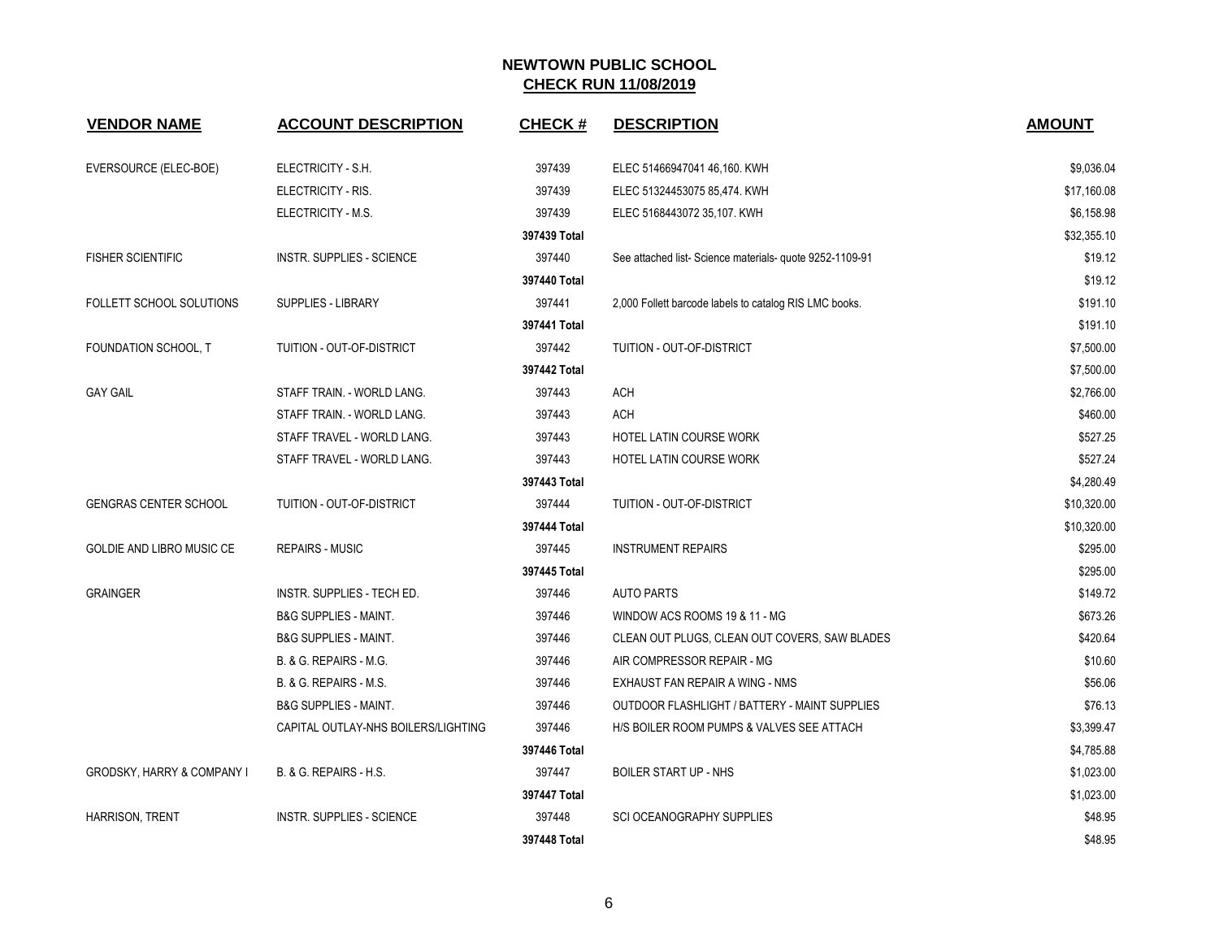| <b>VENDOR NAME</b>                    | <b>ACCOUNT DESCRIPTION</b>          | <b>CHECK#</b> | <b>DESCRIPTION</b>                                      | <b>AMOUNT</b> |
|---------------------------------------|-------------------------------------|---------------|---------------------------------------------------------|---------------|
| EVERSOURCE (ELEC-BOE)                 | ELECTRICITY - S.H.                  | 397439        | ELEC 51466947041 46,160. KWH                            | \$9,036.04    |
|                                       | ELECTRICITY - RIS.                  | 397439        | ELEC 51324453075 85,474. KWH                            | \$17,160.08   |
|                                       | ELECTRICITY - M.S.                  | 397439        | ELEC 5168443072 35,107. KWH                             | \$6,158.98    |
|                                       |                                     | 397439 Total  |                                                         | \$32,355.10   |
| <b>FISHER SCIENTIFIC</b>              | INSTR. SUPPLIES - SCIENCE           | 397440        | See attached list-Science materials- quote 9252-1109-91 | \$19.12       |
|                                       |                                     | 397440 Total  |                                                         | \$19.12       |
| FOLLETT SCHOOL SOLUTIONS              | <b>SUPPLIES - LIBRARY</b>           | 397441        | 2,000 Follett barcode labels to catalog RIS LMC books.  | \$191.10      |
|                                       |                                     | 397441 Total  |                                                         | \$191.10      |
| FOUNDATION SCHOOL, T                  | TUITION - OUT-OF-DISTRICT           | 397442        | TUITION - OUT-OF-DISTRICT                               | \$7,500.00    |
|                                       |                                     | 397442 Total  |                                                         | \$7,500.00    |
| <b>GAY GAIL</b>                       | STAFF TRAIN. - WORLD LANG.          | 397443        | <b>ACH</b>                                              | \$2,766.00    |
|                                       | STAFF TRAIN. - WORLD LANG.          | 397443        | <b>ACH</b>                                              | \$460.00      |
|                                       | STAFF TRAVEL - WORLD LANG.          | 397443        | HOTEL LATIN COURSE WORK                                 | \$527.25      |
|                                       | STAFF TRAVEL - WORLD LANG.          | 397443        | HOTEL LATIN COURSE WORK                                 | \$527.24      |
|                                       |                                     | 397443 Total  |                                                         | \$4,280.49    |
| <b>GENGRAS CENTER SCHOOL</b>          | TUITION - OUT-OF-DISTRICT           | 397444        | TUITION - OUT-OF-DISTRICT                               | \$10,320.00   |
|                                       |                                     | 397444 Total  |                                                         | \$10,320.00   |
| GOLDIE AND LIBRO MUSIC CE             | <b>REPAIRS - MUSIC</b>              | 397445        | <b>INSTRUMENT REPAIRS</b>                               | \$295.00      |
|                                       |                                     | 397445 Total  |                                                         | \$295.00      |
| <b>GRAINGER</b>                       | INSTR. SUPPLIES - TECH ED.          | 397446        | <b>AUTO PARTS</b>                                       | \$149.72      |
|                                       | <b>B&amp;G SUPPLIES - MAINT.</b>    | 397446        | WINDOW ACS ROOMS 19 & 11 - MG                           | \$673.26      |
|                                       | <b>B&amp;G SUPPLIES - MAINT.</b>    | 397446        | CLEAN OUT PLUGS, CLEAN OUT COVERS, SAW BLADES           | \$420.64      |
|                                       | B. & G. REPAIRS - M.G.              | 397446        | AIR COMPRESSOR REPAIR - MG                              | \$10.60       |
|                                       | B. & G. REPAIRS - M.S.              | 397446        | EXHAUST FAN REPAIR A WING - NMS                         | \$56.06       |
|                                       | <b>B&amp;G SUPPLIES - MAINT.</b>    | 397446        | OUTDOOR FLASHLIGHT / BATTERY - MAINT SUPPLIES           | \$76.13       |
|                                       | CAPITAL OUTLAY-NHS BOILERS/LIGHTING | 397446        | HIS BOILER ROOM PUMPS & VALVES SEE ATTACH               | \$3,399.47    |
|                                       |                                     | 397446 Total  |                                                         | \$4,785.88    |
| <b>GRODSKY, HARRY &amp; COMPANY I</b> | B. & G. REPAIRS - H.S.              | 397447        | <b>BOILER START UP - NHS</b>                            | \$1,023.00    |
|                                       |                                     | 397447 Total  |                                                         | \$1,023.00    |
| <b>HARRISON, TRENT</b>                | <b>INSTR. SUPPLIES - SCIENCE</b>    | 397448        | <b>SCI OCEANOGRAPHY SUPPLIES</b>                        | \$48.95       |
|                                       |                                     | 397448 Total  |                                                         | \$48.95       |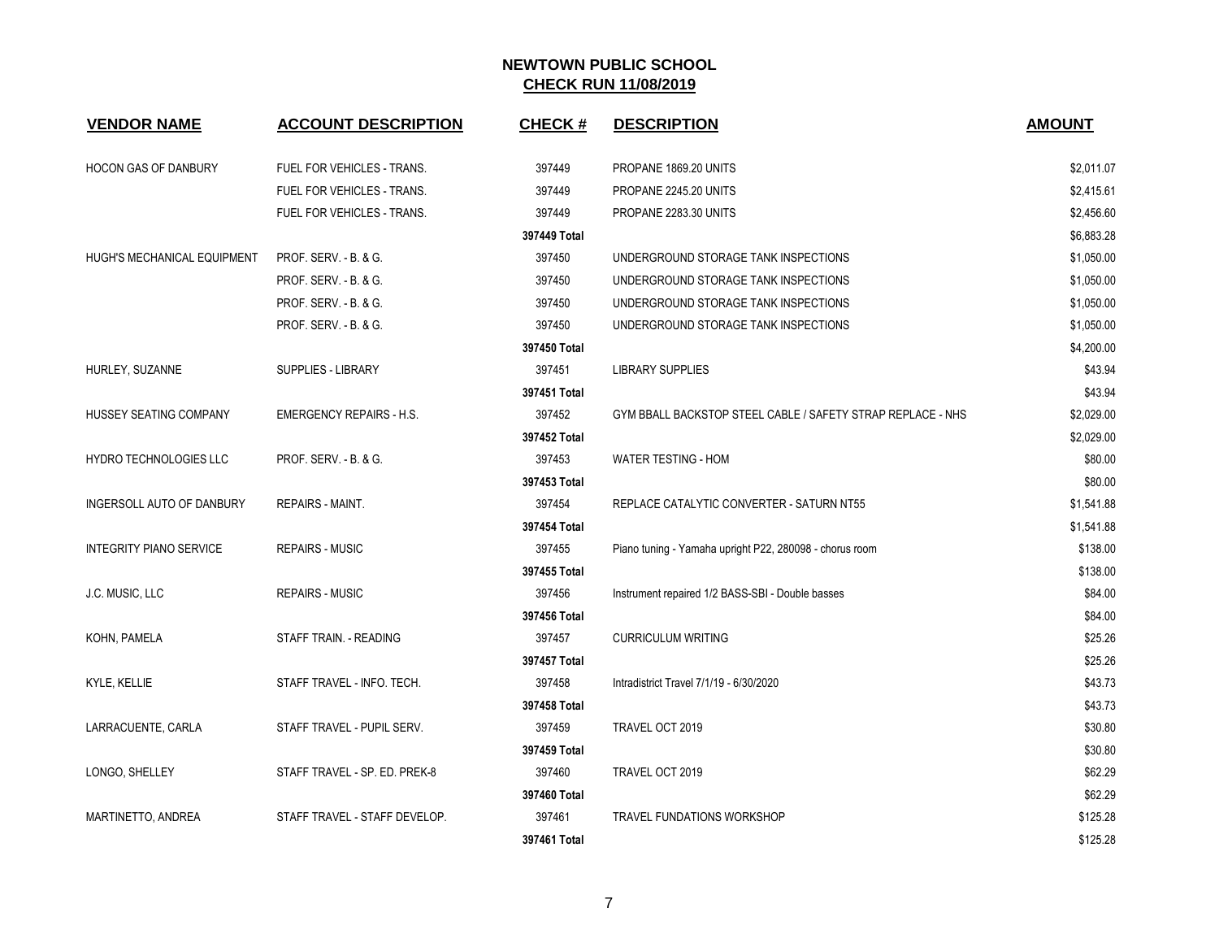| <b>VENDOR NAME</b>             | <b>ACCOUNT DESCRIPTION</b>      | <b>CHECK#</b> | <b>DESCRIPTION</b>                                          | <b>AMOUNT</b> |
|--------------------------------|---------------------------------|---------------|-------------------------------------------------------------|---------------|
| HOCON GAS OF DANBURY           | FUEL FOR VEHICLES - TRANS.      | 397449        | PROPANE 1869.20 UNITS                                       | \$2,011.07    |
|                                | FUEL FOR VEHICLES - TRANS.      | 397449        | PROPANE 2245.20 UNITS                                       | \$2,415.61    |
|                                | FUEL FOR VEHICLES - TRANS.      | 397449        | PROPANE 2283.30 UNITS                                       | \$2,456.60    |
|                                |                                 | 397449 Total  |                                                             | \$6,883.28    |
| HUGH'S MECHANICAL EQUIPMENT    | PROF. SERV. - B. & G.           | 397450        | UNDERGROUND STORAGE TANK INSPECTIONS                        | \$1,050.00    |
|                                | PROF. SERV. - B. & G.           | 397450        | UNDERGROUND STORAGE TANK INSPECTIONS                        | \$1,050.00    |
|                                | PROF. SERV. - B. & G.           | 397450        | UNDERGROUND STORAGE TANK INSPECTIONS                        | \$1,050.00    |
|                                | PROF. SERV. - B. & G.           | 397450        | UNDERGROUND STORAGE TANK INSPECTIONS                        | \$1,050.00    |
|                                |                                 | 397450 Total  |                                                             | \$4,200.00    |
| HURLEY, SUZANNE                | SUPPLIES - LIBRARY              | 397451        | <b>LIBRARY SUPPLIES</b>                                     | \$43.94       |
|                                |                                 | 397451 Total  |                                                             | \$43.94       |
| HUSSEY SEATING COMPANY         | <b>EMERGENCY REPAIRS - H.S.</b> | 397452        | GYM BBALL BACKSTOP STEEL CABLE / SAFETY STRAP REPLACE - NHS | \$2,029.00    |
|                                |                                 | 397452 Total  |                                                             | \$2,029.00    |
| HYDRO TECHNOLOGIES LLC         | PROF. SERV. - B. & G.           | 397453        | <b>WATER TESTING - HOM</b>                                  | \$80.00       |
|                                |                                 | 397453 Total  |                                                             | \$80.00       |
| INGERSOLL AUTO OF DANBURY      | REPAIRS - MAINT.                | 397454        | REPLACE CATALYTIC CONVERTER - SATURN NT55                   | \$1,541.88    |
|                                |                                 | 397454 Total  |                                                             | \$1,541.88    |
| <b>INTEGRITY PIANO SERVICE</b> | <b>REPAIRS - MUSIC</b>          | 397455        | Piano tuning - Yamaha upright P22, 280098 - chorus room     | \$138.00      |
|                                |                                 | 397455 Total  |                                                             | \$138.00      |
| J.C. MUSIC, LLC                | <b>REPAIRS - MUSIC</b>          | 397456        | Instrument repaired 1/2 BASS-SBI - Double basses            | \$84.00       |
|                                |                                 | 397456 Total  |                                                             | \$84.00       |
| KOHN, PAMELA                   | STAFF TRAIN. - READING          | 397457        | <b>CURRICULUM WRITING</b>                                   | \$25.26       |
|                                |                                 | 397457 Total  |                                                             | \$25.26       |
| KYLE, KELLIE                   | STAFF TRAVEL - INFO. TECH.      | 397458        | Intradistrict Travel 7/1/19 - 6/30/2020                     | \$43.73       |
|                                |                                 | 397458 Total  |                                                             | \$43.73       |
| LARRACUENTE, CARLA             | STAFF TRAVEL - PUPIL SERV.      | 397459        | TRAVEL OCT 2019                                             | \$30.80       |
|                                |                                 | 397459 Total  |                                                             | \$30.80       |
| LONGO, SHELLEY                 | STAFF TRAVEL - SP. ED. PREK-8   | 397460        | TRAVEL OCT 2019                                             | \$62.29       |
|                                |                                 | 397460 Total  |                                                             | \$62.29       |
| MARTINETTO, ANDREA             | STAFF TRAVEL - STAFF DEVELOP.   | 397461        | <b>TRAVEL FUNDATIONS WORKSHOP</b>                           | \$125.28      |
|                                |                                 | 397461 Total  |                                                             | \$125.28      |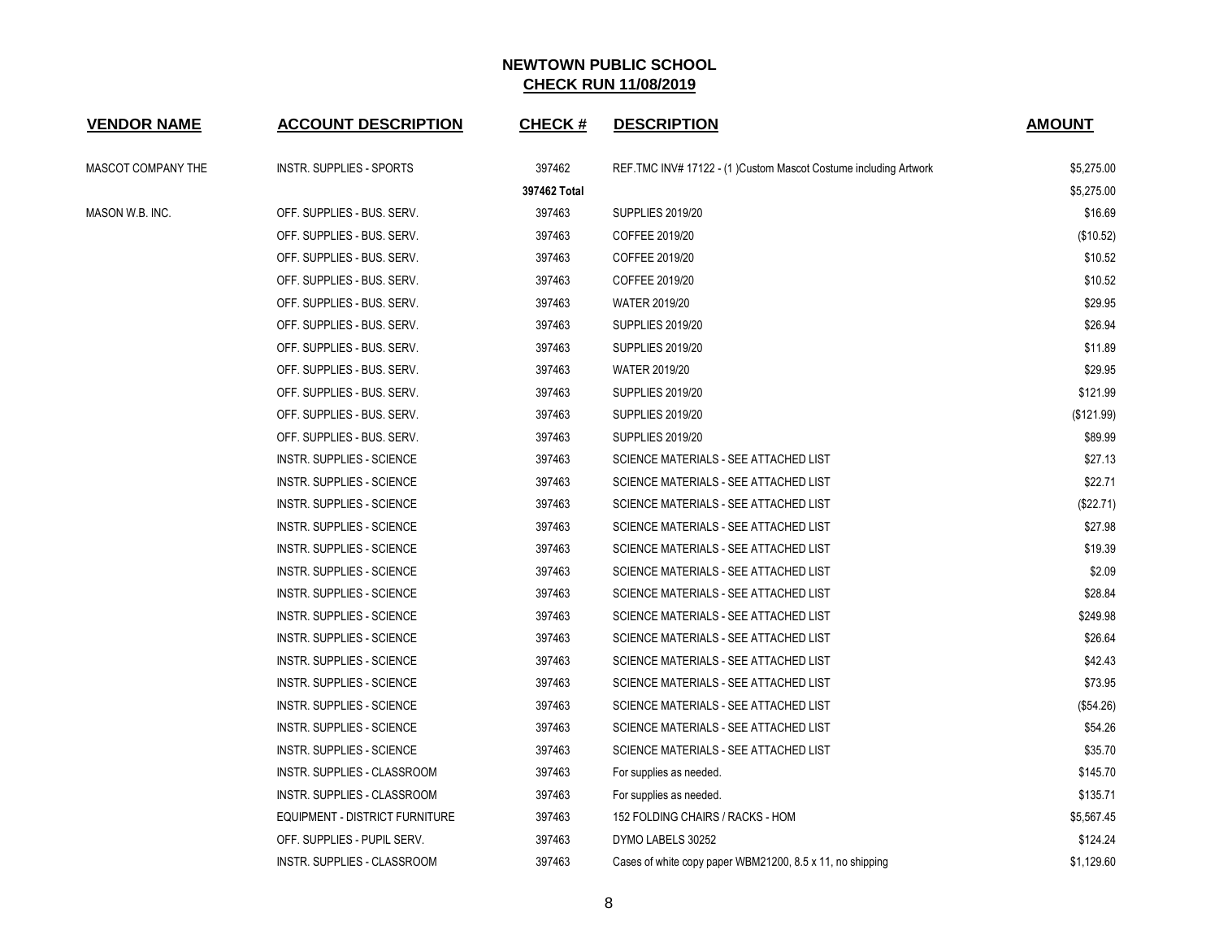| <b>VENDOR NAME</b> | <b>ACCOUNT DESCRIPTION</b>       | <b>CHECK#</b> | <b>DESCRIPTION</b>                                               | <b>AMOUNT</b> |
|--------------------|----------------------------------|---------------|------------------------------------------------------------------|---------------|
| MASCOT COMPANY THE | INSTR. SUPPLIES - SPORTS         | 397462        | REF.TMC INV# 17122 - (1) Custom Mascot Costume including Artwork | \$5,275.00    |
|                    |                                  | 397462 Total  |                                                                  | \$5,275.00    |
| MASON W.B. INC.    | OFF. SUPPLIES - BUS. SERV.       | 397463        | <b>SUPPLIES 2019/20</b>                                          | \$16.69       |
|                    | OFF. SUPPLIES - BUS. SERV.       | 397463        | COFFEE 2019/20                                                   | (\$10.52)     |
|                    | OFF. SUPPLIES - BUS. SERV.       | 397463        | COFFEE 2019/20                                                   | \$10.52       |
|                    | OFF. SUPPLIES - BUS. SERV.       | 397463        | COFFEE 2019/20                                                   | \$10.52       |
|                    | OFF. SUPPLIES - BUS. SERV.       | 397463        | <b>WATER 2019/20</b>                                             | \$29.95       |
|                    | OFF. SUPPLIES - BUS. SERV.       | 397463        | <b>SUPPLIES 2019/20</b>                                          | \$26.94       |
|                    | OFF. SUPPLIES - BUS. SERV.       | 397463        | <b>SUPPLIES 2019/20</b>                                          | \$11.89       |
|                    | OFF. SUPPLIES - BUS. SERV.       | 397463        | <b>WATER 2019/20</b>                                             | \$29.95       |
|                    | OFF. SUPPLIES - BUS. SERV.       | 397463        | <b>SUPPLIES 2019/20</b>                                          | \$121.99      |
|                    | OFF. SUPPLIES - BUS. SERV.       | 397463        | <b>SUPPLIES 2019/20</b>                                          | (\$121.99)    |
|                    | OFF. SUPPLIES - BUS. SERV.       | 397463        | <b>SUPPLIES 2019/20</b>                                          | \$89.99       |
|                    | INSTR. SUPPLIES - SCIENCE        | 397463        | SCIENCE MATERIALS - SEE ATTACHED LIST                            | \$27.13       |
|                    | INSTR. SUPPLIES - SCIENCE        | 397463        | SCIENCE MATERIALS - SEE ATTACHED LIST                            | \$22.71       |
|                    | <b>INSTR. SUPPLIES - SCIENCE</b> | 397463        | SCIENCE MATERIALS - SEE ATTACHED LIST                            | (\$22.71)     |
|                    | INSTR. SUPPLIES - SCIENCE        | 397463        | SCIENCE MATERIALS - SEE ATTACHED LIST                            | \$27.98       |
|                    | INSTR. SUPPLIES - SCIENCE        | 397463        | SCIENCE MATERIALS - SEE ATTACHED LIST                            | \$19.39       |
|                    | INSTR. SUPPLIES - SCIENCE        | 397463        | SCIENCE MATERIALS - SEE ATTACHED LIST                            | \$2.09        |
|                    | INSTR. SUPPLIES - SCIENCE        | 397463        | SCIENCE MATERIALS - SEE ATTACHED LIST                            | \$28.84       |
|                    | <b>INSTR. SUPPLIES - SCIENCE</b> | 397463        | SCIENCE MATERIALS - SEE ATTACHED LIST                            | \$249.98      |
|                    | INSTR. SUPPLIES - SCIENCE        | 397463        | SCIENCE MATERIALS - SEE ATTACHED LIST                            | \$26.64       |
|                    | INSTR. SUPPLIES - SCIENCE        | 397463        | SCIENCE MATERIALS - SEE ATTACHED LIST                            | \$42.43       |
|                    | INSTR. SUPPLIES - SCIENCE        | 397463        | SCIENCE MATERIALS - SEE ATTACHED LIST                            | \$73.95       |
|                    | INSTR. SUPPLIES - SCIENCE        | 397463        | SCIENCE MATERIALS - SEE ATTACHED LIST                            | (\$54.26)     |
|                    | INSTR. SUPPLIES - SCIENCE        | 397463        | SCIENCE MATERIALS - SEE ATTACHED LIST                            | \$54.26       |
|                    | INSTR. SUPPLIES - SCIENCE        | 397463        | SCIENCE MATERIALS - SEE ATTACHED LIST                            | \$35.70       |
|                    | INSTR. SUPPLIES - CLASSROOM      | 397463        | For supplies as needed.                                          | \$145.70      |
|                    | INSTR. SUPPLIES - CLASSROOM      | 397463        | For supplies as needed.                                          | \$135.71      |
|                    | EQUIPMENT - DISTRICT FURNITURE   | 397463        | 152 FOLDING CHAIRS / RACKS - HOM                                 | \$5,567.45    |
|                    | OFF. SUPPLIES - PUPIL SERV.      | 397463        | DYMO LABELS 30252                                                | \$124.24      |
|                    | INSTR. SUPPLIES - CLASSROOM      | 397463        | Cases of white copy paper WBM21200, 8.5 x 11, no shipping        | \$1,129.60    |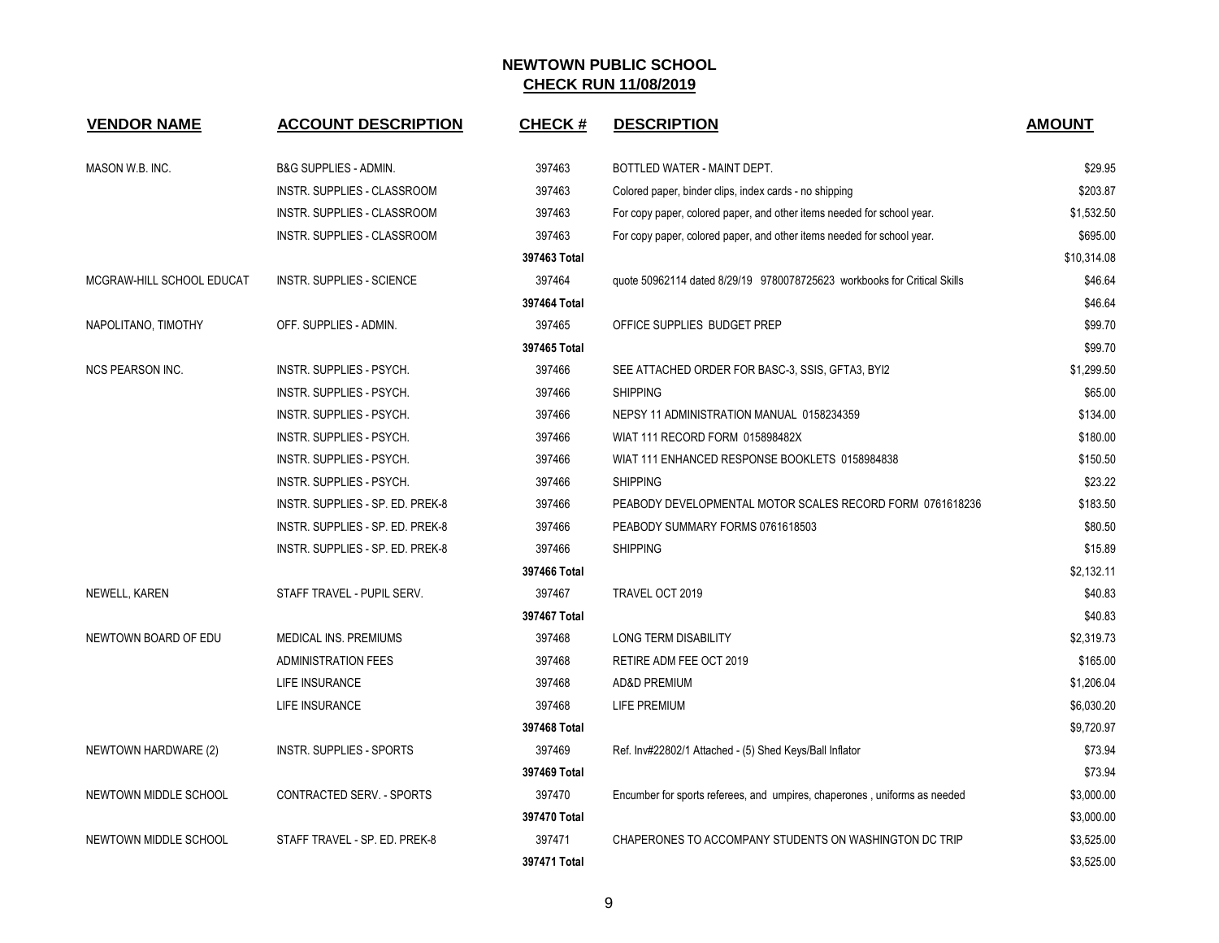| <b>VENDOR NAME</b>        | <b>ACCOUNT DESCRIPTION</b>       | <b>CHECK#</b> | <b>DESCRIPTION</b>                                                        | <b>AMOUNT</b> |
|---------------------------|----------------------------------|---------------|---------------------------------------------------------------------------|---------------|
| MASON W.B. INC.           | B&G SUPPLIES - ADMIN.            | 397463        | BOTTLED WATER - MAINT DEPT.                                               | \$29.95       |
|                           | INSTR. SUPPLIES - CLASSROOM      | 397463        | Colored paper, binder clips, index cards - no shipping                    | \$203.87      |
|                           | INSTR. SUPPLIES - CLASSROOM      | 397463        | For copy paper, colored paper, and other items needed for school year.    | \$1,532.50    |
|                           | INSTR. SUPPLIES - CLASSROOM      | 397463        | For copy paper, colored paper, and other items needed for school year.    | \$695.00      |
|                           |                                  | 397463 Total  |                                                                           | \$10,314.08   |
| MCGRAW-HILL SCHOOL EDUCAT | <b>INSTR. SUPPLIES - SCIENCE</b> | 397464        | quote 50962114 dated 8/29/19 9780078725623 workbooks for Critical Skills  | \$46.64       |
|                           |                                  | 397464 Total  |                                                                           | \$46.64       |
| NAPOLITANO, TIMOTHY       | OFF. SUPPLIES - ADMIN.           | 397465        | OFFICE SUPPLIES BUDGET PREP                                               | \$99.70       |
|                           |                                  | 397465 Total  |                                                                           | \$99.70       |
| <b>NCS PEARSON INC.</b>   | INSTR. SUPPLIES - PSYCH.         | 397466        | SEE ATTACHED ORDER FOR BASC-3, SSIS, GFTA3, BYI2                          | \$1,299.50    |
|                           | INSTR. SUPPLIES - PSYCH.         | 397466        | <b>SHIPPING</b>                                                           | \$65.00       |
|                           | INSTR. SUPPLIES - PSYCH.         | 397466        | NEPSY 11 ADMINISTRATION MANUAL 0158234359                                 | \$134.00      |
|                           | INSTR. SUPPLIES - PSYCH.         | 397466        | WIAT 111 RECORD FORM 015898482X                                           | \$180.00      |
|                           | INSTR. SUPPLIES - PSYCH.         | 397466        | WIAT 111 ENHANCED RESPONSE BOOKLETS 0158984838                            | \$150.50      |
|                           | INSTR. SUPPLIES - PSYCH.         | 397466        | <b>SHIPPING</b>                                                           | \$23.22       |
|                           | INSTR. SUPPLIES - SP. ED. PREK-8 | 397466        | PEABODY DEVELOPMENTAL MOTOR SCALES RECORD FORM 0761618236                 | \$183.50      |
|                           | INSTR. SUPPLIES - SP. ED. PREK-8 | 397466        | PEABODY SUMMARY FORMS 0761618503                                          | \$80.50       |
|                           | INSTR. SUPPLIES - SP. ED. PREK-8 | 397466        | <b>SHIPPING</b>                                                           | \$15.89       |
|                           |                                  | 397466 Total  |                                                                           | \$2,132.11    |
| NEWELL, KAREN             | STAFF TRAVEL - PUPIL SERV.       | 397467        | TRAVEL OCT 2019                                                           | \$40.83       |
|                           |                                  | 397467 Total  |                                                                           | \$40.83       |
| NEWTOWN BOARD OF EDU      | <b>MEDICAL INS. PREMIUMS</b>     | 397468        | <b>LONG TERM DISABILITY</b>                                               | \$2,319.73    |
|                           | <b>ADMINISTRATION FEES</b>       | 397468        | RETIRE ADM FEE OCT 2019                                                   | \$165.00      |
|                           | LIFE INSURANCE                   | 397468        | <b>AD&amp;D PREMIUM</b>                                                   | \$1,206.04    |
|                           | LIFE INSURANCE                   | 397468        | LIFE PREMIUM                                                              | \$6,030.20    |
|                           |                                  | 397468 Total  |                                                                           | \$9,720.97    |
| NEWTOWN HARDWARE (2)      | <b>INSTR. SUPPLIES - SPORTS</b>  | 397469        | Ref. Inv#22802/1 Attached - (5) Shed Keys/Ball Inflator                   | \$73.94       |
|                           |                                  | 397469 Total  |                                                                           | \$73.94       |
| NEWTOWN MIDDLE SCHOOL     | <b>CONTRACTED SERV. - SPORTS</b> | 397470        | Encumber for sports referees, and umpires, chaperones, uniforms as needed | \$3,000.00    |
|                           |                                  | 397470 Total  |                                                                           | \$3,000.00    |
| NEWTOWN MIDDLE SCHOOL     | STAFF TRAVEL - SP. ED. PREK-8    | 397471        | CHAPERONES TO ACCOMPANY STUDENTS ON WASHINGTON DC TRIP                    | \$3,525.00    |
|                           |                                  | 397471 Total  |                                                                           | \$3,525.00    |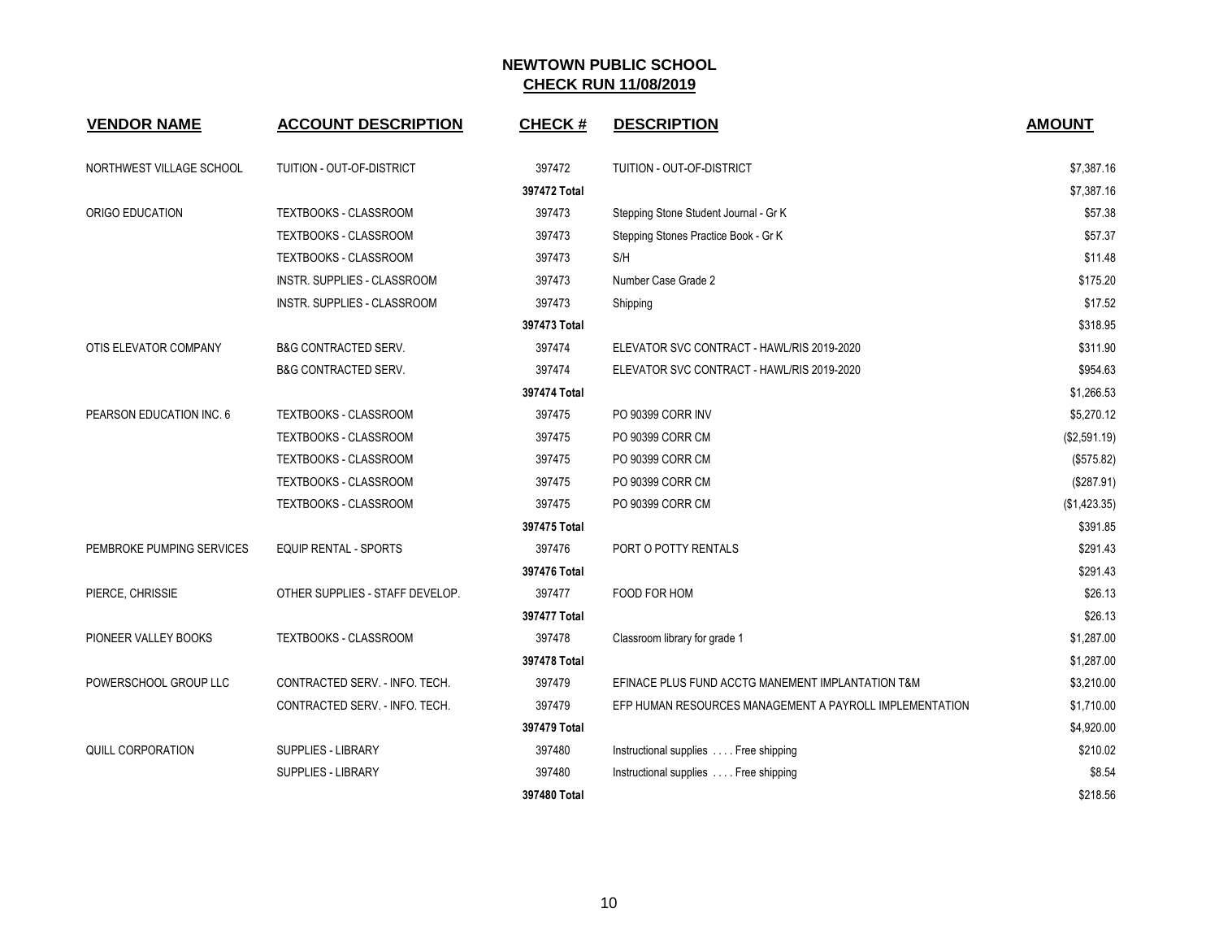| <b>VENDOR NAME</b>        | <b>ACCOUNT DESCRIPTION</b>      | <b>CHECK#</b> | <b>DESCRIPTION</b>                                      | <b>AMOUNT</b> |
|---------------------------|---------------------------------|---------------|---------------------------------------------------------|---------------|
| NORTHWEST VILLAGE SCHOOL  | TUITION - OUT-OF-DISTRICT       | 397472        | TUITION - OUT-OF-DISTRICT                               | \$7,387.16    |
|                           |                                 | 397472 Total  |                                                         | \$7,387.16    |
| ORIGO EDUCATION           | TEXTBOOKS - CLASSROOM           | 397473        | Stepping Stone Student Journal - Gr K                   | \$57.38       |
|                           | <b>TEXTBOOKS - CLASSROOM</b>    | 397473        | Stepping Stones Practice Book - Gr K                    | \$57.37       |
|                           | TEXTBOOKS - CLASSROOM           | 397473        | S/H                                                     | \$11.48       |
|                           | INSTR. SUPPLIES - CLASSROOM     | 397473        | Number Case Grade 2                                     | \$175.20      |
|                           | INSTR. SUPPLIES - CLASSROOM     | 397473        | Shipping                                                | \$17.52       |
|                           |                                 | 397473 Total  |                                                         | \$318.95      |
| OTIS ELEVATOR COMPANY     | <b>B&amp;G CONTRACTED SERV.</b> | 397474        | ELEVATOR SVC CONTRACT - HAWL/RIS 2019-2020              | \$311.90      |
|                           | <b>B&amp;G CONTRACTED SERV.</b> | 397474        | ELEVATOR SVC CONTRACT - HAWL/RIS 2019-2020              | \$954.63      |
|                           |                                 | 397474 Total  |                                                         | \$1,266.53    |
| PEARSON EDUCATION INC. 6  | TEXTBOOKS - CLASSROOM           | 397475        | PO 90399 CORR INV                                       | \$5,270.12    |
|                           | TEXTBOOKS - CLASSROOM           | 397475        | PO 90399 CORR CM                                        | (\$2,591.19)  |
|                           | TEXTBOOKS - CLASSROOM           | 397475        | PO 90399 CORR CM                                        | (\$575.82)    |
|                           | TEXTBOOKS - CLASSROOM           | 397475        | PO 90399 CORR CM                                        | (\$287.91)    |
|                           | TEXTBOOKS - CLASSROOM           | 397475        | PO 90399 CORR CM                                        | (\$1,423.35)  |
|                           |                                 | 397475 Total  |                                                         | \$391.85      |
| PEMBROKE PUMPING SERVICES | EQUIP RENTAL - SPORTS           | 397476        | PORT O POTTY RENTALS                                    | \$291.43      |
|                           |                                 | 397476 Total  |                                                         | \$291.43      |
| PIERCE, CHRISSIE          | OTHER SUPPLIES - STAFF DEVELOP. | 397477        | FOOD FOR HOM                                            | \$26.13       |
|                           |                                 | 397477 Total  |                                                         | \$26.13       |
| PIONEER VALLEY BOOKS      | TEXTBOOKS - CLASSROOM           | 397478        | Classroom library for grade 1                           | \$1,287.00    |
|                           |                                 | 397478 Total  |                                                         | \$1,287.00    |
| POWERSCHOOL GROUP LLC     | CONTRACTED SERV. - INFO. TECH.  | 397479        | EFINACE PLUS FUND ACCTG MANEMENT IMPLANTATION T&M       | \$3,210.00    |
|                           | CONTRACTED SERV. - INFO. TECH.  | 397479        | EFP HUMAN RESOURCES MANAGEMENT A PAYROLL IMPLEMENTATION | \$1,710.00    |
|                           |                                 | 397479 Total  |                                                         | \$4,920.00    |
| QUILL CORPORATION         | <b>SUPPLIES - LIBRARY</b>       | 397480        | Instructional supplies Free shipping                    | \$210.02      |
|                           | SUPPLIES - LIBRARY              | 397480        | Instructional supplies  Free shipping                   | \$8.54        |
|                           |                                 | 397480 Total  |                                                         | \$218.56      |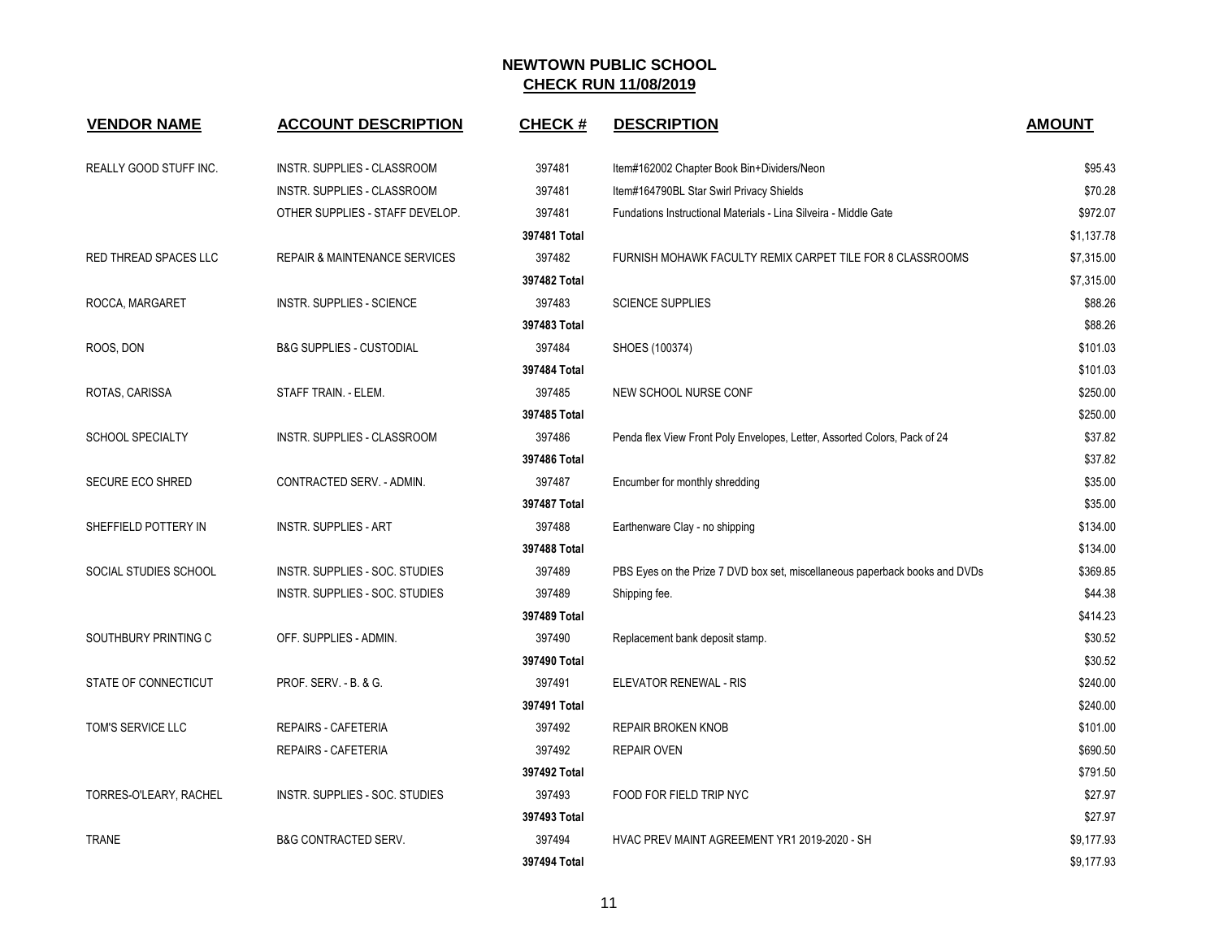| <b>VENDOR NAME</b>      | <b>ACCOUNT DESCRIPTION</b>               | <b>CHECK#</b> | <b>DESCRIPTION</b>                                                          | <b>AMOUNT</b> |
|-------------------------|------------------------------------------|---------------|-----------------------------------------------------------------------------|---------------|
| REALLY GOOD STUFF INC.  | INSTR. SUPPLIES - CLASSROOM              | 397481        | Item#162002 Chapter Book Bin+Dividers/Neon                                  | \$95.43       |
|                         | INSTR. SUPPLIES - CLASSROOM              | 397481        | Item#164790BL Star Swirl Privacy Shields                                    | \$70.28       |
|                         | OTHER SUPPLIES - STAFF DEVELOP.          | 397481        | Fundations Instructional Materials - Lina Silveira - Middle Gate            | \$972.07      |
|                         |                                          | 397481 Total  |                                                                             | \$1,137.78    |
| RED THREAD SPACES LLC   | <b>REPAIR &amp; MAINTENANCE SERVICES</b> | 397482        | FURNISH MOHAWK FACULTY REMIX CARPET TILE FOR 8 CLASSROOMS                   | \$7,315.00    |
|                         |                                          | 397482 Total  |                                                                             | \$7,315.00    |
| ROCCA, MARGARET         | <b>INSTR. SUPPLIES - SCIENCE</b>         | 397483        | <b>SCIENCE SUPPLIES</b>                                                     | \$88.26       |
|                         |                                          | 397483 Total  |                                                                             | \$88.26       |
| ROOS, DON               | <b>B&amp;G SUPPLIES - CUSTODIAL</b>      | 397484        | SHOES (100374)                                                              | \$101.03      |
|                         |                                          | 397484 Total  |                                                                             | \$101.03      |
| ROTAS, CARISSA          | STAFF TRAIN. - ELEM.                     | 397485        | NEW SCHOOL NURSE CONF                                                       | \$250.00      |
|                         |                                          | 397485 Total  |                                                                             | \$250.00      |
| <b>SCHOOL SPECIALTY</b> | INSTR. SUPPLIES - CLASSROOM              | 397486        | Penda flex View Front Poly Envelopes, Letter, Assorted Colors, Pack of 24   | \$37.82       |
|                         |                                          | 397486 Total  |                                                                             | \$37.82       |
| <b>SECURE ECO SHRED</b> | CONTRACTED SERV. - ADMIN.                | 397487        | Encumber for monthly shredding                                              | \$35.00       |
|                         |                                          | 397487 Total  |                                                                             | \$35.00       |
| SHEFFIELD POTTERY IN    | <b>INSTR. SUPPLIES - ART</b>             | 397488        | Earthenware Clay - no shipping                                              | \$134.00      |
|                         |                                          | 397488 Total  |                                                                             | \$134.00      |
| SOCIAL STUDIES SCHOOL   | INSTR. SUPPLIES - SOC. STUDIES           | 397489        | PBS Eyes on the Prize 7 DVD box set, miscellaneous paperback books and DVDs | \$369.85      |
|                         | INSTR. SUPPLIES - SOC. STUDIES           | 397489        | Shipping fee.                                                               | \$44.38       |
|                         |                                          | 397489 Total  |                                                                             | \$414.23      |
| SOUTHBURY PRINTING C    | OFF. SUPPLIES - ADMIN.                   | 397490        | Replacement bank deposit stamp.                                             | \$30.52       |
|                         |                                          | 397490 Total  |                                                                             | \$30.52       |
| STATE OF CONNECTICUT    | PROF. SERV. - B. & G.                    | 397491        | <b>ELEVATOR RENEWAL - RIS</b>                                               | \$240.00      |
|                         |                                          | 397491 Total  |                                                                             | \$240.00      |
| TOM'S SERVICE LLC       | <b>REPAIRS - CAFETERIA</b>               | 397492        | <b>REPAIR BROKEN KNOB</b>                                                   | \$101.00      |
|                         | REPAIRS - CAFETERIA                      | 397492        | <b>REPAIR OVEN</b>                                                          | \$690.50      |
|                         |                                          | 397492 Total  |                                                                             | \$791.50      |
| TORRES-O'LEARY, RACHEL  | INSTR. SUPPLIES - SOC. STUDIES           | 397493        | FOOD FOR FIELD TRIP NYC                                                     | \$27.97       |
|                         |                                          | 397493 Total  |                                                                             | \$27.97       |
| <b>TRANE</b>            | <b>B&amp;G CONTRACTED SERV.</b>          | 397494        | HVAC PREV MAINT AGREEMENT YR1 2019-2020 - SH                                | \$9,177.93    |
|                         |                                          | 397494 Total  |                                                                             | \$9,177.93    |